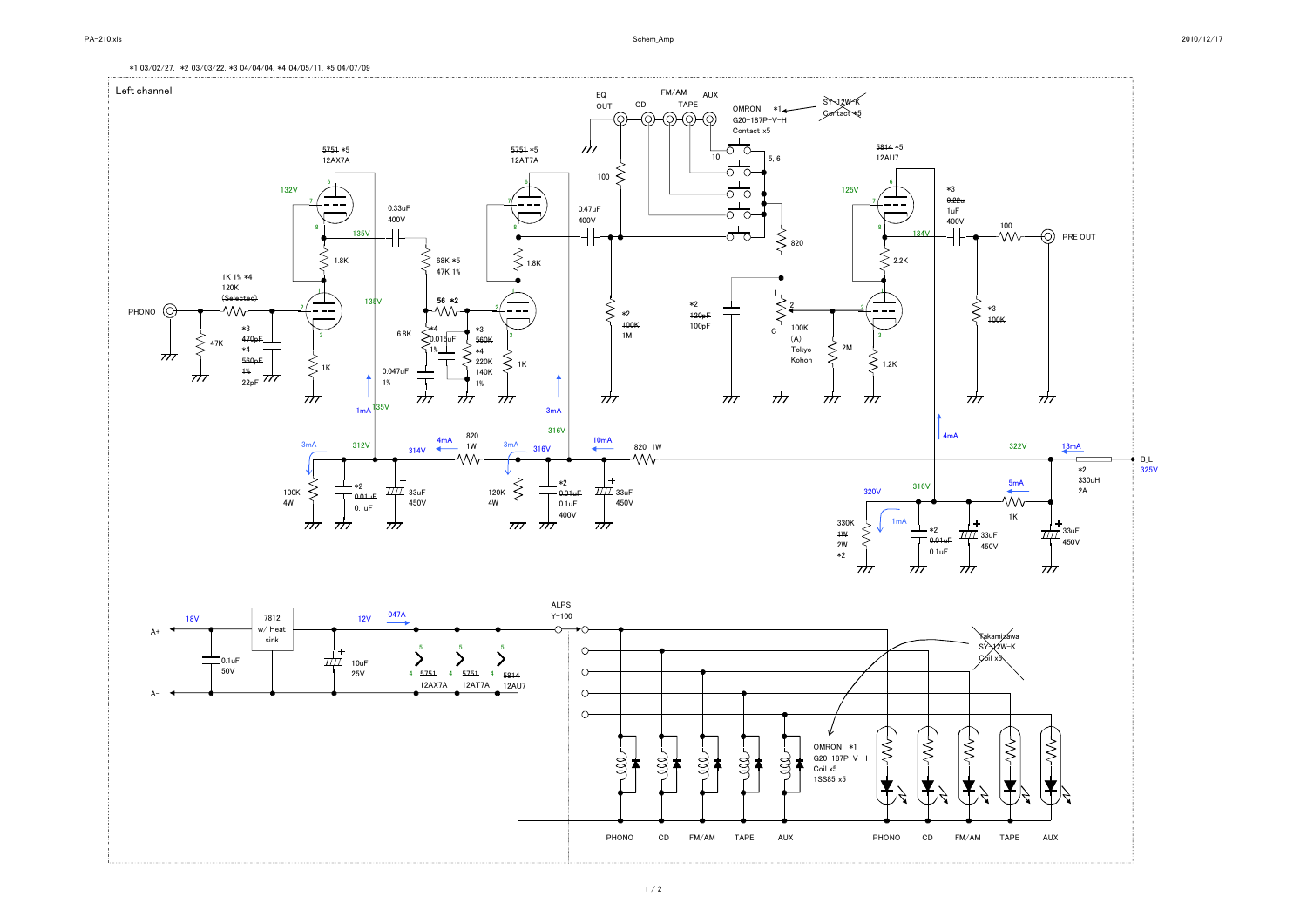\*1 03/02/27, \*2 03/03/22, \*3 04/04/04, \*4 04/05/11, \*5 04/07/09